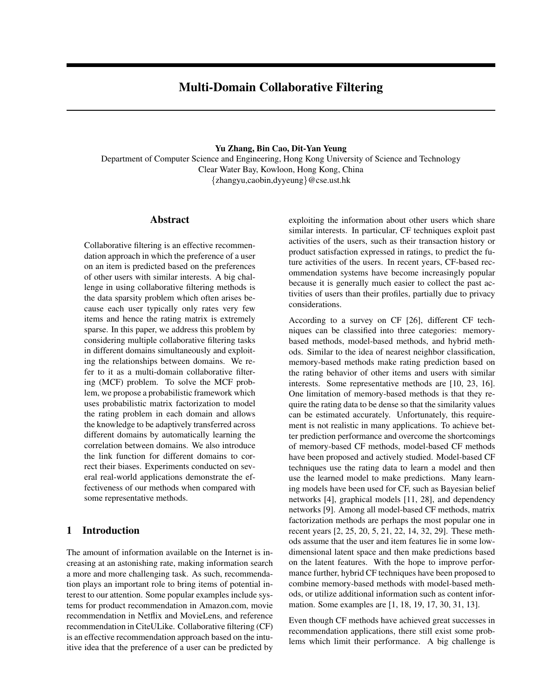# Multi-Domain Collaborative Filtering

#### Yu Zhang, Bin Cao, Dit-Yan Yeung

Department of Computer Science and Engineering, Hong Kong University of Science and Technology Clear Water Bay, Kowloon, Hong Kong, China {zhangyu,caobin,dyyeung}@cse.ust.hk

## Abstract

Collaborative filtering is an effective recommendation approach in which the preference of a user on an item is predicted based on the preferences of other users with similar interests. A big challenge in using collaborative filtering methods is the data sparsity problem which often arises because each user typically only rates very few items and hence the rating matrix is extremely sparse. In this paper, we address this problem by considering multiple collaborative filtering tasks in different domains simultaneously and exploiting the relationships between domains. We refer to it as a multi-domain collaborative filtering (MCF) problem. To solve the MCF problem, we propose a probabilistic framework which uses probabilistic matrix factorization to model the rating problem in each domain and allows the knowledge to be adaptively transferred across different domains by automatically learning the correlation between domains. We also introduce the link function for different domains to correct their biases. Experiments conducted on several real-world applications demonstrate the effectiveness of our methods when compared with some representative methods.

## 1 Introduction

The amount of information available on the Internet is increasing at an astonishing rate, making information search a more and more challenging task. As such, recommendation plays an important role to bring items of potential interest to our attention. Some popular examples include systems for product recommendation in Amazon.com, movie recommendation in Netflix and MovieLens, and reference recommendation in CiteULike. Collaborative filtering (CF) is an effective recommendation approach based on the intuitive idea that the preference of a user can be predicted by exploiting the information about other users which share similar interests. In particular, CF techniques exploit past activities of the users, such as their transaction history or product satisfaction expressed in ratings, to predict the future activities of the users. In recent years, CF-based recommendation systems have become increasingly popular because it is generally much easier to collect the past activities of users than their profiles, partially due to privacy considerations.

According to a survey on CF [26], different CF techniques can be classified into three categories: memorybased methods, model-based methods, and hybrid methods. Similar to the idea of nearest neighbor classification, memory-based methods make rating prediction based on the rating behavior of other items and users with similar interests. Some representative methods are [10, 23, 16]. One limitation of memory-based methods is that they require the rating data to be dense so that the similarity values can be estimated accurately. Unfortunately, this requirement is not realistic in many applications. To achieve better prediction performance and overcome the shortcomings of memory-based CF methods, model-based CF methods have been proposed and actively studied. Model-based CF techniques use the rating data to learn a model and then use the learned model to make predictions. Many learning models have been used for CF, such as Bayesian belief networks [4], graphical models [11, 28], and dependency networks [9]. Among all model-based CF methods, matrix factorization methods are perhaps the most popular one in recent years [2, 25, 20, 5, 21, 22, 14, 32, 29]. These methods assume that the user and item features lie in some lowdimensional latent space and then make predictions based on the latent features. With the hope to improve performance further, hybrid CF techniques have been proposed to combine memory-based methods with model-based methods, or utilize additional information such as content information. Some examples are [1, 18, 19, 17, 30, 31, 13].

Even though CF methods have achieved great successes in recommendation applications, there still exist some problems which limit their performance. A big challenge is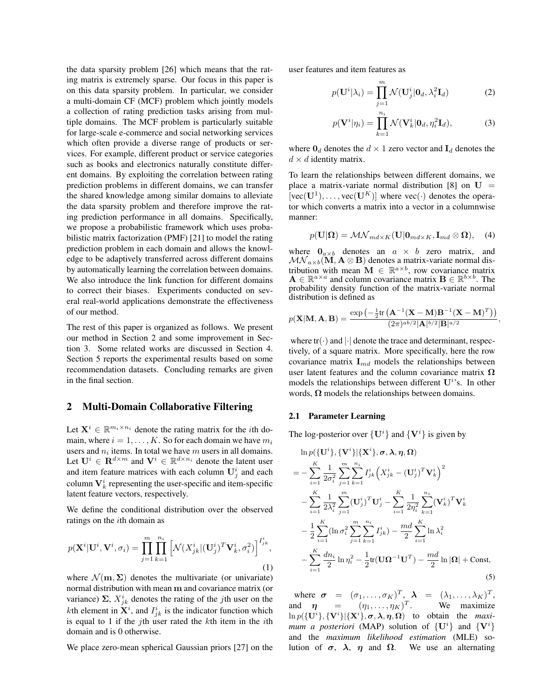the data sparsity problem [26] which means that the rating matrix is extremely sparse. Our focus in this paper is on this data sparsity problem. In particular, we consider a multi-domain CF (MCF) problem which jointly models a collection of rating prediction tasks arising from multiple domains. The MCF problem is particularly suitable for large-scale e-commerce and social networking services which often provide a diverse range of products or services. For example, different product or service categories such as books and electronics naturally constitute different domains. By exploiting the correlation between rating prediction problems in different domains, we can transfer the shared knowledge among similar domains to alleviate the data sparsity problem and therefore improve the rating prediction performance in all domains. Specifically, we propose a probabilistic framework which uses probabilistic matrix factorization (PMF) [21] to model the rating prediction problem in each domain and allows the knowledge to be adaptively transferred across different domains by automatically learning the correlation between domains. We also introduce the link function for different domains to correct their biases. Experiments conducted on several real-world applications demonstrate the effectiveness of our method.

The rest of this paper is organized as follows. We present our method in Section 2 and some improvement in Section 3. Some related works are discussed in Section 4. Section 5 reports the experimental results based on some recommendation datasets. Concluding remarks are given in the final section.

## 2 Multi-Domain Collaborative Filtering

Let  $\mathbf{X}^i \in \mathbb{R}^{m_i \times n_i}$  denote the rating matrix for the *i*th domain, where  $i = 1, \ldots, K$ . So for each domain we have  $m_i$ users and  $n_i$  items. In total we have  $m$  users in all domains. Let  $\mathbf{U}^i \in \mathbf{R}^{d \times m}$  and  $\mathbf{V}^i \in \mathbb{R}^{d \times n_i}$  denote the latent user and item feature matrices with each column  $\mathbf{U}_j^i$  and each column  $V_k^i$  representing the user-specific and item-specific latent feature vectors, respectively.

We define the conditional distribution over the observed ratings on the *th domain as* 

$$
p(\mathbf{X}^i | \mathbf{U}^i, \mathbf{V}^i, \sigma_i) = \prod_{j=1}^m \prod_{k=1}^{n_i} \left[ \mathcal{N}(X_{jk}^i | (\mathbf{U}_j^i)^T \mathbf{V}_k^i, \sigma_i^2) \right]^{I_{jk}^i},
$$
\n(1)

where  $\mathcal{N}(\mathbf{m}, \Sigma)$  denotes the multivariate (or univariate) normal distribution with mean m and covariance matrix (or variance)  $\Sigma$ ,  $X_{jk}^{i}$  denotes the rating of the *j*th user on the *k*th element in  $X^i$ , and  $I^i_{jk}$  is the indicator function which is equal to 1 if the *j*th user rated the  $k$ th item in the *i*th domain and is 0 otherwise.

We place zero-mean spherical Gaussian priors [27] on the

user features and item features as

$$
p(\mathbf{U}^i|\lambda_i) = \prod_{j=1}^m \mathcal{N}(\mathbf{U}_j^i|\mathbf{0}_d, \lambda_i^2 \mathbf{I}_d)
$$
 (2)

$$
p(\mathbf{V}^i|\eta_i) = \prod_{k=1}^{n_i} \mathcal{N}(\mathbf{V}_k^i|\mathbf{0}_d, \eta_i^2 \mathbf{I}_d),
$$
 (3)

where  $\mathbf{0}_d$  denotes the  $d \times 1$  zero vector and  $\mathbf{I}_d$  denotes the  $d \times d$  identity matrix.

To learn the relationships between different domains, we place a matrix-variate normal distribution [8] on  $U =$  $[vec(\mathbf{U}^1), \dots, vec(\mathbf{U}^K)]$  where  $vec(\cdot)$  denotes the operator which converts a matrix into a vector in a columnwise manner:

$$
p(\mathbf{U}|\mathbf{\Omega})=\mathcal{MN}_{md\times K}(\mathbf{U}|\mathbf{0}_{md\times K},\mathbf{I}_{md}\otimes\mathbf{\Omega}),\quad(4)
$$

where  $\mathbf{0}_{a \times b}$  denotes an  $a \times b$  zero matrix, and  $\mathcal{MN}_{a \times b}(\mathbf{M}, \mathbf{A} \otimes \mathbf{B})$  denotes a matrix-variate normal distribution with mean  $\mathbf{M} \in \mathbb{R}^{a \times b}$ , row covariance matrix  $\mathbf{A} \in \mathbb{R}^{a \times a}$  and column covariance matrix  $\mathbf{B} \in \mathbb{R}^{b \times b}$ . The probability density function of the matrix-variate normal distribution is defined as

$$
p(\mathbf{X}|\mathbf{M},\mathbf{A},\mathbf{B})=\frac{\exp\left(-\frac{1}{2}\text{tr}\left(\mathbf{A}^{-1}(\mathbf{X}-\mathbf{M})\mathbf{B}^{-1}(\mathbf{X}-\mathbf{M})^T\right)\right)}{(2\pi)^{ab/2}|\mathbf{A}|^{b/2}|\mathbf{B}|^{a/2}}
$$

,

where  $tr(\cdot)$  and  $|\cdot|$  denote the trace and determinant, respectively, of a square matrix. More specifically, here the row covariance matrix  $\mathbf{I}_{md}$  models the relationships between user latent features and the column covariance matrix  $\Omega$ models the relationships between different  $U^{i}$ 's. In other words,  $\Omega$  models the relationships between domains.

#### 2.1 Parameter Learning

The log-posterior over  $\{U^i\}$  and  $\{V^i\}$  is given by

$$
\ln p(\{\mathbf{U}^{i}\}, \{\mathbf{V}^{i}\}|\{\mathbf{X}^{i}\}, \sigma, \lambda, \eta, \Omega) \n= -\sum_{i=1}^{K} \frac{1}{2\sigma_{i}^{2}} \sum_{j=1}^{m} \sum_{k=1}^{n_{i}} I_{jk}^{i} \left(X_{jk}^{i} - (\mathbf{U}_{j}^{i})^{T} \mathbf{V}_{k}^{i}\right)^{2} \n- \sum_{i=1}^{K} \frac{1}{2\lambda_{i}^{2}} \sum_{j=1}^{m} (\mathbf{U}_{j}^{i})^{T} \mathbf{U}_{j}^{i} - \sum_{i=1}^{K} \frac{1}{2\eta_{i}^{2}} \sum_{k=1}^{n_{i}} (\mathbf{V}_{k}^{i})^{T} \mathbf{V}_{k}^{i} \n- \frac{1}{2} \sum_{i=1}^{K} (\ln \sigma_{i}^{2} \sum_{j=1}^{m} \sum_{k=1}^{n_{i}} I_{jk}^{i}) - \frac{md}{2} \sum_{i=1}^{K} \ln \lambda_{i}^{2} \n- \sum_{i=1}^{K} \frac{dn_{i}}{2} \ln \eta_{i}^{2} - \frac{1}{2} \text{tr}(\mathbf{U}\Omega^{-1}\mathbf{U}^{T}) - \frac{md}{2} \ln |\Omega| + \text{Const},
$$
\n(5)

where  $\boldsymbol{\sigma} = (\sigma_1, \dots, \sigma_K)^T$ ,  $\boldsymbol{\lambda} = (\lambda_1, \dots, \lambda_K)^T$ , and  $\eta = (\eta_1, \ldots, \eta_K)^T$ We maximize  $\ln p({\{\mathbf{U}^i\}}, {\{\mathbf{V}^i\}}| {\{\mathbf{X}^i\}}, \sigma, \lambda, \eta, \Omega)$  to obtain the *maximum a posteriori* (MAP) solution of  $\{U^i\}$  and  $\{V^i\}$ and the *maximum likelihood estimation* (MLE) solution of  $\sigma$ ,  $\lambda$ ,  $\eta$  and  $\Omega$ . We use an alternating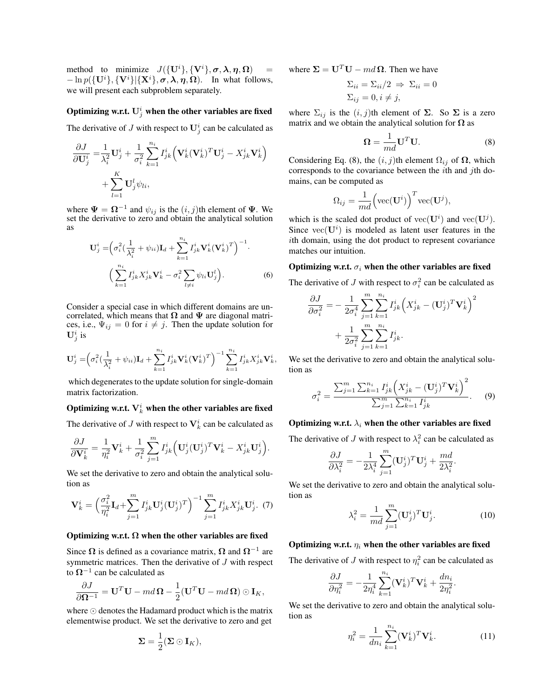method to minimize  $J(\{\mathbf{U}^i\}, {\{\mathbf{V}^i\}}, \sigma, \boldsymbol{\lambda}, \boldsymbol{\eta}, \boldsymbol{\Omega})$  =  $-\ln p({\bf U}^i], {\bf V}^i | {\bf X}^i, \sigma, \lambda, \eta, \Omega)$ . In what follows, we will present each subproblem separately.

## Optimizing w.r.t.  $\mathbf{U}_{j}^{i}$  when the other variables are fixed

The derivative of J with respect to  $\mathbf{U}_j^i$  can be calculated as

$$
\frac{\partial J}{\partial \mathbf{U}_{j}^{i}} = \frac{1}{\lambda_{i}^{2}} \mathbf{U}_{j}^{i} + \frac{1}{\sigma_{i}^{2}} \sum_{k=1}^{n_{i}} I_{jk}^{i} (\mathbf{V}_{k}^{i} (\mathbf{V}_{k}^{i})^{T} \mathbf{U}_{j}^{i} - X_{jk}^{i} \mathbf{V}_{k}^{i}) + \sum_{l=1}^{K} \mathbf{U}_{j}^{l} \psi_{li},
$$

where  $\Psi = \Omega^{-1}$  and  $\psi_{ij}$  is the  $(i, j)$ th element of  $\Psi$ . We set the derivative to zero and obtain the analytical solution as

$$
\mathbf{U}_{j}^{i} = \left(\sigma_{i}^{2} \left(\frac{1}{\lambda_{i}^{2}} + \psi_{ii}\right) \mathbf{I}_{d} + \sum_{k=1}^{n_{i}} I_{jk}^{i} \mathbf{V}_{k}^{i} (\mathbf{V}_{k}^{i})^{T}\right)^{-1}.
$$

$$
\left(\sum_{k=1}^{n_{i}} I_{jk}^{i} X_{jk}^{i} \mathbf{V}_{k}^{i} - \sigma_{i}^{2} \sum_{l \neq i} \psi_{li} \mathbf{U}_{j}^{l}\right).
$$
(6)

Consider a special case in which different domains are uncorrelated, which means that  $\Omega$  and  $\Psi$  are diagonal matrices, i.e.,  $\Psi_{ij} = 0$  for  $i \neq j$ . Then the update solution for  $\mathbf{U}_{j}^{i}$  is

$$
\mathbf{U}_{j}^{i} = \left(\sigma_{i}^{2}(\frac{1}{\lambda_{i}^{2}} + \psi_{ii})\mathbf{I}_{d} + \sum_{k=1}^{n_{i}} I_{jk}^{i} \mathbf{V}_{k}^{i}(\mathbf{V}_{k}^{i})^{T}\right)^{-1} \sum_{k=1}^{n_{i}} I_{jk}^{i} X_{jk}^{i} \mathbf{V}_{k}^{i},
$$

which degenerates to the update solution for single-domain matrix factorization.

## Optimizing w.r.t.  $\mathbf{V}_k^i$  when the other variables are fixed

The derivative of J with respect to  $V_k^i$  can be calculated as

$$
\frac{\partial J}{\partial \mathbf{V}_k^i} = \frac{1}{\eta_i^2} \mathbf{V}_k^i + \frac{1}{\sigma_i^2} \sum_{j=1}^m I_{jk}^i \Big( \mathbf{U}_j^i (\mathbf{U}_j^i)^T \mathbf{V}_k^i - X_{jk}^i \mathbf{U}_j^i \Big).
$$

We set the derivative to zero and obtain the analytical solution as

$$
\mathbf{V}_{k}^{i} = \left(\frac{\sigma_{i}^{2}}{\eta_{i}^{2}}\mathbf{I}_{d} + \sum_{j=1}^{m} I_{jk}^{i} \mathbf{U}_{j}^{i} (\mathbf{U}_{j}^{i})^{T}\right)^{-1} \sum_{j=1}^{m} I_{jk}^{i} X_{jk}^{i} \mathbf{U}_{j}^{i}.
$$
 (7)

#### Optimizing w.r.t.  $\Omega$  when the other variables are fixed

Since  $\Omega$  is defined as a covariance matrix,  $\Omega$  and  $\Omega^{-1}$  are symmetric matrices. Then the derivative of  $J$  with respect to  $\Omega^{-1}$  can be calculated as

$$
\frac{\partial J}{\partial \mathbf{\Omega}^{-1}} = \mathbf{U}^T \mathbf{U} - m d \mathbf{\Omega} - \frac{1}{2} (\mathbf{U}^T \mathbf{U} - m d \mathbf{\Omega}) \odot \mathbf{I}_K,
$$

where ⊙ denotes the Hadamard product which is the matrix elementwise product. We set the derivative to zero and get

$$
\Sigma = \frac{1}{2}(\Sigma \odot \mathbf{I}_K),
$$

where  $\Sigma = U^T U - m d \Omega$ . Then we have

$$
\Sigma_{ii} = \Sigma_{ii}/2 \implies \Sigma_{ii} = 0
$$
  

$$
\Sigma_{ij} = 0, i \neq j,
$$

where  $\Sigma_{ij}$  is the  $(i, j)$ th element of  $\Sigma$ . So  $\Sigma$  is a zero matrix and we obtain the analytical solution for  $\Omega$  as

$$
\mathbf{\Omega} = \frac{1}{md} \mathbf{U}^T \mathbf{U}.
$$
 (8)

Considering Eq. (8), the  $(i, j)$ th element  $\Omega_{ij}$  of  $\Omega$ , which corresponds to the covariance between the *th and*  $*j*$ *th do*mains, can be computed as

$$
\Omega_{ij} = \frac{1}{md} \Big( \text{vec}(\mathbf{U}^i) \Big)^T \text{vec}(\mathbf{U}^j),
$$

which is the scaled dot product of  $\text{vec}(\mathbf{U}^i)$  and  $\text{vec}(\mathbf{U}^j)$ . Since  $\text{vec}(\mathbf{U}^i)$  is modeled as latent user features in the ith domain, using the dot product to represent covariance matches our intuition.

#### Optimizing w.r.t.  $\sigma_i$  when the other variables are fixed

The derivative of J with respect to  $\sigma_i^2$  can be calculated as

$$
\begin{split} \frac{\partial J}{\partial \sigma_i^2}=&-\frac{1}{2\sigma_i^4}\sum_{j=1}^m\sum_{k=1}^{n_i}I^i_{jk}\Big(X^i_{jk}-(\mathbf{U}^i_j)^T\mathbf{V}^i_k\Big)^2\\ &+\frac{1}{2\sigma_i^2}\sum_{j=1}^m\sum_{k=1}^{n_i}I^i_{jk}. \end{split}
$$

We set the derivative to zero and obtain the analytical solution as

$$
\sigma_i^2 = \frac{\sum_{j=1}^m \sum_{k=1}^{n_i} I_{jk}^i \left( X_{jk}^i - (\mathbf{U}_j^i)^T \mathbf{V}_k^i \right)^2}{\sum_{j=1}^m \sum_{k=1}^{n_i} I_{jk}^i}.
$$
 (9)

## Optimizing w.r.t.  $\lambda_i$  when the other variables are fixed

The derivative of J with respect to  $\lambda_i^2$  can be calculated as

$$
\frac{\partial J}{\partial \lambda_i^2} = -\frac{1}{2\lambda_i^4}\sum_{j=1}^m (\mathbf{U}^i_j)^T \mathbf{U}^i_j + \frac{md}{2\lambda_i^2}.
$$

We set the derivative to zero and obtain the analytical solution as

$$
\lambda_i^2 = \frac{1}{md} \sum_{j=1}^m (\mathbf{U}_j^i)^T \mathbf{U}_j^i.
$$
 (10)

### Optimizing w.r.t.  $\eta_i$  when the other variables are fixed

The derivative of J with respect to  $\eta_i^2$  can be calculated as

$$
\frac{\partial J}{\partial \eta_i^2} = -\frac{1}{2\eta_i^4} \sum_{k=1}^{n_i} (\mathbf{V}_k^i)^T \mathbf{V}_k^i + \frac{d n_i}{2\eta_i^2}.
$$

We set the derivative to zero and obtain the analytical solution as

$$
\eta_i^2 = \frac{1}{dn_i} \sum_{k=1}^{n_i} (\mathbf{V}_k^i)^T \mathbf{V}_k^i.
$$
 (11)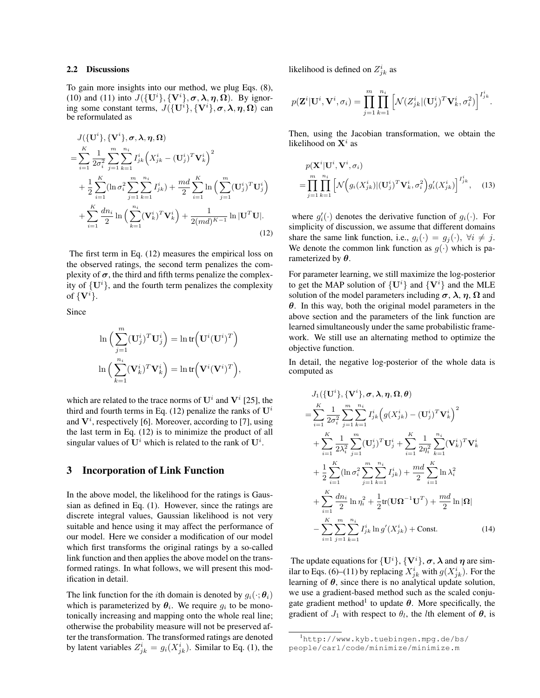#### 2.2 Discussions

To gain more insights into our method, we plug Eqs. (8), (10) and (11) into  $J({\{\mathbf{U}^i\}}, {\{\mathbf{V}^i\}}, \boldsymbol{\sigma}, \boldsymbol{\lambda}, \boldsymbol{\eta}, \boldsymbol{\Omega})$ . By ignoring some constant terms,  $J(\{\mathbf{U}^i\}, {\{\mathbf{V}^i\}}, \boldsymbol{\sigma}, \boldsymbol{\lambda}, \boldsymbol{\eta}, \boldsymbol{\Omega})$  can be reformulated as

$$
J(\{\mathbf{U}^{i}\},{\{\mathbf{V}^{i}\},\boldsymbol{\sigma},\boldsymbol{\lambda},\boldsymbol{\eta},\boldsymbol{\Omega}})
$$
\n
$$
= \sum_{i=1}^{K} \frac{1}{2\sigma_{i}^{2}} \sum_{j=1}^{m} \sum_{k=1}^{n_{i}} I_{jk}^{i} (X_{jk}^{i} - (\mathbf{U}_{j}^{i})^{T} \mathbf{V}_{k}^{i})^{2}
$$
\n
$$
+ \frac{1}{2} \sum_{i=1}^{K} (\ln \sigma_{i}^{2} \sum_{j=1}^{m} \sum_{k=1}^{n_{i}} I_{jk}^{i}) + \frac{md}{2} \sum_{i=1}^{K} \ln \left( \sum_{j=1}^{m} (\mathbf{U}_{j}^{i})^{T} \mathbf{U}_{j}^{i} \right)
$$
\n
$$
+ \sum_{i=1}^{K} \frac{dn_{i}}{2} \ln \left( \sum_{k=1}^{n_{i}} (\mathbf{V}_{k}^{i})^{T} \mathbf{V}_{k}^{i} \right) + \frac{1}{2 (md)^{K-1}} \ln |\mathbf{U}^{T} \mathbf{U}|.
$$
\n(12)

The first term in Eq. (12) measures the empirical loss on the observed ratings, the second term penalizes the complexity of  $\sigma$ , the third and fifth terms penalize the complexity of  $\{U^i\}$ , and the fourth term penalizes the complexity of  $\{V^i\}.$ 

Since

$$
\ln\left(\sum_{j=1}^m (\mathbf{U}_j^i)^T \mathbf{U}_j^i\right) = \ln \text{tr}\left(\mathbf{U}^i (\mathbf{U}^i)^T\right)
$$

$$
\ln\left(\sum_{k=1}^{n_i} (\mathbf{V}_k^i)^T \mathbf{V}_k^i\right) = \ln \text{tr}\left(\mathbf{V}^i (\mathbf{V}^i)^T\right),
$$

which are related to the trace norms of  $\mathbf{U}^i$  and  $\mathbf{V}^i$  [25], the third and fourth terms in Eq. (12) penalize the ranks of  $U^i$ and  $V^i$ , respectively [6]. Moreover, according to [7], using the last term in Eq. (12) is to minimize the product of all singular values of  $\mathbf{U}^i$  which is related to the rank of  $\mathbf{U}^i$ .

## 3 Incorporation of Link Function

In the above model, the likelihood for the ratings is Gaussian as defined in Eq. (1). However, since the ratings are discrete integral values, Gaussian likelihood is not very suitable and hence using it may affect the performance of our model. Here we consider a modification of our model which first transforms the original ratings by a so-called link function and then applies the above model on the transformed ratings. In what follows, we will present this modification in detail.

The link function for the *i*th domain is denoted by  $q_i(\cdot; \theta_i)$ which is parameterized by  $\theta_i$ . We require  $g_i$  to be monotonically increasing and mapping onto the whole real line; otherwise the probability measure will not be preserved after the transformation. The transformed ratings are denoted by latent variables  $Z_{jk}^{i} = g_i(X_{jk}^{i})$ . Similar to Eq. (1), the

likelihood is defined on  $Z_{jk}^{i}$  as

$$
p(\mathbf{Z}^i | \mathbf{U}^i, \mathbf{V}^i, \sigma_i) = \prod_{j=1}^m \prod_{k=1}^{n_i} \left[ \mathcal{N}(Z_{jk}^i | (\mathbf{U}_j^i)^T \mathbf{V}_k^i, \sigma_i^2) \right]^{I_{jk}^i}.
$$

Then, using the Jacobian transformation, we obtain the likelihood on  $\mathbf{X}^i$  as

$$
p(\mathbf{X}^i | \mathbf{U}^i, \mathbf{V}^i, \sigma_i)
$$
  
= 
$$
\prod_{j=1}^m \prod_{k=1}^{n_i} \left[ \mathcal{N}\left(g_i(X_{jk}^i) | (\mathbf{U}_j^i)^T \mathbf{V}_k^i, \sigma_i^2\right) g_i'(X_{jk}^i) \right]^{I_{jk}^i},
$$
 (13)

where  $g_i'(\cdot)$  denotes the derivative function of  $g_i(\cdot)$ . For simplicity of discussion, we assume that different domains share the same link function, i.e.,  $g_i(\cdot) = g_j(\cdot)$ ,  $\forall i \neq j$ . We denote the common link function as  $q(·)$  which is parameterized by  $\theta$ .

For parameter learning, we still maximize the log-posterior to get the MAP solution of  $\{U^i\}$  and  $\{V^i\}$  and the MLE solution of the model parameters including  $\sigma$ ,  $\lambda$ ,  $\eta$ ,  $\Omega$  and  $\theta$ . In this way, both the original model parameters in the above section and the parameters of the link function are learned simultaneously under the same probabilistic framework. We still use an alternating method to optimize the objective function.

In detail, the negative log-posterior of the whole data is computed as

$$
J_{1}(\{\mathbf{U}^{i}\}, \{\mathbf{V}^{i}\}, \boldsymbol{\sigma}, \boldsymbol{\lambda}, \boldsymbol{\eta}, \boldsymbol{\Omega}, \boldsymbol{\theta})
$$
\n
$$
= \sum_{i=1}^{K} \frac{1}{2\sigma_{i}^{2}} \sum_{j=1}^{m} \sum_{k=1}^{n_{i}} I_{jk}^{i} \Big(g(X_{jk}^{i}) - (\mathbf{U}_{j}^{i})^{T} \mathbf{V}_{k}^{i}\Big)^{2}
$$
\n
$$
+ \sum_{i=1}^{K} \frac{1}{2\lambda_{i}^{2}} \sum_{j=1}^{m} (\mathbf{U}_{j}^{i})^{T} \mathbf{U}_{j}^{i} + \sum_{i=1}^{K} \frac{1}{2\eta_{i}^{2}} \sum_{k=1}^{n_{i}} (\mathbf{V}_{k}^{i})^{T} \mathbf{V}_{k}^{i}
$$
\n
$$
+ \frac{1}{2} \sum_{i=1}^{K} (\ln \sigma_{i}^{2} \sum_{j=1}^{m} \sum_{k=1}^{n_{i}} I_{jk}^{i}) + \frac{md}{2} \sum_{i=1}^{K} \ln \lambda_{i}^{2}
$$
\n
$$
+ \sum_{i=1}^{K} \frac{dn_{i}}{2} \ln \eta_{i}^{2} + \frac{1}{2} \text{tr}(\mathbf{U}\boldsymbol{\Omega}^{-1}\mathbf{U}^{T}) + \frac{md}{2} \ln |\boldsymbol{\Omega}|
$$
\n
$$
- \sum_{i=1}^{K} \sum_{j=1}^{m} \sum_{k=1}^{n_{i}} I_{jk}^{i} \ln g'(X_{jk}^{i}) + \text{Const.} \tag{14}
$$

The update equations for  $\{U^i\}$ ,  $\{V^i\}$ ,  $\sigma$ ,  $\lambda$  and  $\eta$  are similar to Eqs. (6)–(11) by replacing  $X_{jk}^i$  with  $g(X_{jk}^i)$ . For the learning of  $\theta$ , since there is no analytical update solution, we use a gradient-based method such as the scaled conjugate gradient method<sup>1</sup> to update  $\theta$ . More specifically, the gradient of  $J_1$  with respect to  $\theta_l$ , the *l*th element of  $\theta$ , is

<sup>1</sup>http://www.kyb.tuebingen.mpg.de/bs/ people/carl/code/minimize/minimize.m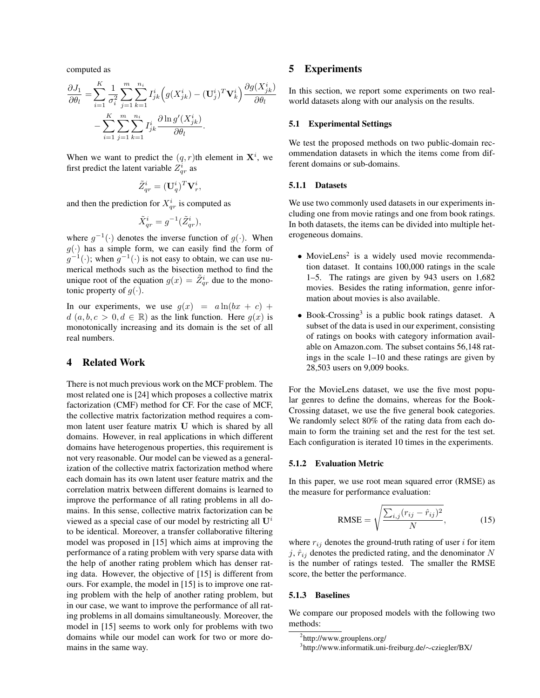computed as

$$
\frac{\partial J_1}{\partial \theta_l} = \sum_{i=1}^K \frac{1}{\sigma_i^2} \sum_{j=1}^m \sum_{k=1}^{n_i} I_{jk}^i \Big( g(X_{jk}^i) - (\mathbf{U}_j^i)^T \mathbf{V}_k^i \Big) \frac{\partial g(X_{jk}^i)}{\partial \theta_l} \n- \sum_{i=1}^K \sum_{j=1}^m \sum_{k=1}^{n_i} I_{jk}^i \frac{\partial \ln g'(X_{jk}^i)}{\partial \theta_l}.
$$

When we want to predict the  $(q, r)$ th element in  $X^i$ , we first predict the latent variable  $Z_{qr}^{i}$  as

$$
\tilde{Z}_{qr}^i = (\mathbf{U}_q^i)^T \mathbf{V}_r^i,
$$

and then the prediction for  $X_{qr}^i$  is computed as

$$
\tilde{X}_{qr}^i = g^{-1}(\tilde{Z}_{qr}^i),
$$

where  $g^{-1}(\cdot)$  denotes the inverse function of  $g(\cdot)$ . When  $g(\cdot)$  has a simple form, we can easily find the form of  $g^{-1}(\cdot)$ ; when  $g^{-1}(\cdot)$  is not easy to obtain, we can use numerical methods such as the bisection method to find the unique root of the equation  $g(x) = \tilde{Z}_{qr}^i$  due to the monotonic property of  $g(\cdot)$ .

In our experiments, we use  $q(x) = a \ln(bx + c) +$  $d(a, b, c > 0, d \in \mathbb{R})$  as the link function. Here  $g(x)$  is monotonically increasing and its domain is the set of all real numbers.

## 4 Related Work

There is not much previous work on the MCF problem. The most related one is [24] which proposes a collective matrix factorization (CMF) method for CF. For the case of MCF, the collective matrix factorization method requires a common latent user feature matrix U which is shared by all domains. However, in real applications in which different domains have heterogenous properties, this requirement is not very reasonable. Our model can be viewed as a generalization of the collective matrix factorization method where each domain has its own latent user feature matrix and the correlation matrix between different domains is learned to improve the performance of all rating problems in all domains. In this sense, collective matrix factorization can be viewed as a special case of our model by restricting all  $\mathbf{U}^i$ to be identical. Moreover, a transfer collaborative filtering model was proposed in [15] which aims at improving the performance of a rating problem with very sparse data with the help of another rating problem which has denser rating data. However, the objective of [15] is different from ours. For example, the model in [15] is to improve one rating problem with the help of another rating problem, but in our case, we want to improve the performance of all rating problems in all domains simultaneously. Moreover, the model in [15] seems to work only for problems with two domains while our model can work for two or more domains in the same way.

## 5 Experiments

In this section, we report some experiments on two realworld datasets along with our analysis on the results.

#### 5.1 Experimental Settings

We test the proposed methods on two public-domain recommendation datasets in which the items come from different domains or sub-domains.

#### 5.1.1 Datasets

We use two commonly used datasets in our experiments including one from movie ratings and one from book ratings. In both datasets, the items can be divided into multiple heterogeneous domains.

- ∙ MovieLens<sup>2</sup> is a widely used movie recommendation dataset. It contains 100,000 ratings in the scale 1–5. The ratings are given by 943 users on 1,682 movies. Besides the rating information, genre information about movies is also available.
- ∙ Book-Crossing<sup>3</sup> is a public book ratings dataset. A subset of the data is used in our experiment, consisting of ratings on books with category information available on Amazon.com. The subset contains 56,148 ratings in the scale 1–10 and these ratings are given by 28,503 users on 9,009 books.

For the MovieLens dataset, we use the five most popular genres to define the domains, whereas for the Book-Crossing dataset, we use the five general book categories. We randomly select 80% of the rating data from each domain to form the training set and the rest for the test set. Each configuration is iterated 10 times in the experiments.

## 5.1.2 Evaluation Metric

In this paper, we use root mean squared error (RMSE) as the measure for performance evaluation:

$$
\text{RMSE} = \sqrt{\frac{\sum_{i,j} (r_{ij} - \hat{r}_{ij})^2}{N}},\tag{15}
$$

where  $r_{ij}$  denotes the ground-truth rating of user  $i$  for item  $j, \hat{r}_{ij}$  denotes the predicted rating, and the denominator N is the number of ratings tested. The smaller the RMSE score, the better the performance.

### 5.1.3 Baselines

We compare our proposed models with the following two methods:

<sup>2</sup> http://www.grouplens.org/

<sup>3</sup> http://www.informatik.uni-freiburg.de/∼cziegler/BX/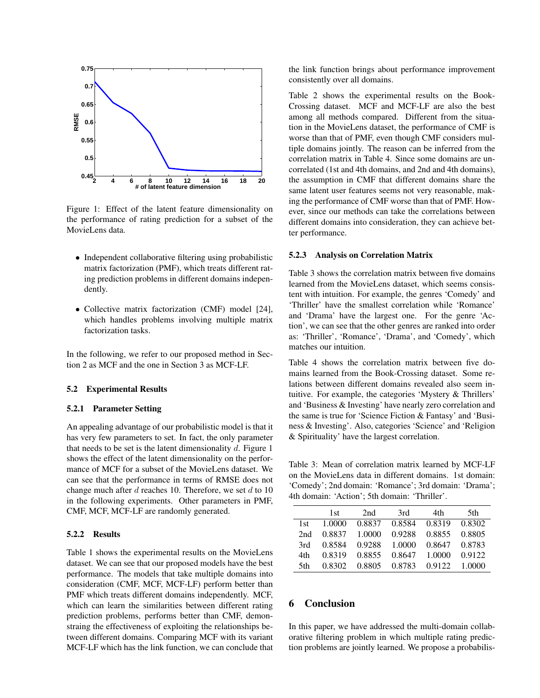

Figure 1: Effect of the latent feature dimensionality on the performance of rating prediction for a subset of the MovieLens data.

- ∙ Independent collaborative filtering using probabilistic matrix factorization (PMF), which treats different rating prediction problems in different domains independently.
- ∙ Collective matrix factorization (CMF) model [24], which handles problems involving multiple matrix factorization tasks.

In the following, we refer to our proposed method in Section 2 as MCF and the one in Section 3 as MCF-LF.

## 5.2 Experimental Results

### 5.2.1 Parameter Setting

An appealing advantage of our probabilistic model is that it has very few parameters to set. In fact, the only parameter that needs to be set is the latent dimensionality  $d$ . Figure 1 shows the effect of the latent dimensionality on the performance of MCF for a subset of the MovieLens dataset. We can see that the performance in terms of RMSE does not change much after  $d$  reaches 10. Therefore, we set  $d$  to 10 in the following experiments. Other parameters in PMF, CMF, MCF, MCF-LF are randomly generated.

## 5.2.2 Results

Table 1 shows the experimental results on the MovieLens dataset. We can see that our proposed models have the best performance. The models that take multiple domains into consideration (CMF, MCF, MCF-LF) perform better than PMF which treats different domains independently. MCF, which can learn the similarities between different rating prediction problems, performs better than CMF, demonstraing the effectiveness of exploiting the relationships between different domains. Comparing MCF with its variant MCF-LF which has the link function, we can conclude that the link function brings about performance improvement consistently over all domains.

Table 2 shows the experimental results on the Book-Crossing dataset. MCF and MCF-LF are also the best among all methods compared. Different from the situation in the MovieLens dataset, the performance of CMF is worse than that of PMF, even though CMF considers multiple domains jointly. The reason can be inferred from the correlation matrix in Table 4. Since some domains are uncorrelated (1st and 4th domains, and 2nd and 4th domains), the assumption in CMF that different domains share the same latent user features seems not very reasonable, making the performance of CMF worse than that of PMF. However, since our methods can take the correlations between different domains into consideration, they can achieve better performance.

#### 5.2.3 Analysis on Correlation Matrix

Table 3 shows the correlation matrix between five domains learned from the MovieLens dataset, which seems consistent with intuition. For example, the genres 'Comedy' and 'Thriller' have the smallest correlation while 'Romance' and 'Drama' have the largest one. For the genre 'Action', we can see that the other genres are ranked into order as: 'Thriller', 'Romance', 'Drama', and 'Comedy', which matches our intuition.

Table 4 shows the correlation matrix between five domains learned from the Book-Crossing dataset. Some relations between different domains revealed also seem intuitive. For example, the categories 'Mystery & Thrillers' and 'Business & Investing' have nearly zero correlation and the same is true for 'Science Fiction & Fantasy' and 'Business & Investing'. Also, categories 'Science' and 'Religion & Spirituality' have the largest correlation.

Table 3: Mean of correlation matrix learned by MCF-LF on the MovieLens data in different domains. 1st domain: 'Comedy'; 2nd domain: 'Romance'; 3rd domain: 'Drama'; 4th domain: 'Action'; 5th domain: 'Thriller'.

|      | 1st    | 2nd    | 3rd    | 4th    | 5th    |
|------|--------|--------|--------|--------|--------|
| 1st. | 1.0000 | 0.8837 | 0.8584 | 0.8319 | 0.8302 |
| 2nd  | 0.8837 | 1.0000 | 0.9288 | 0.8855 | 0.8805 |
| 3rd  | 0.8584 | 0.9288 | 1.0000 | 0.8647 | 0.8783 |
| 4th  | 0.8319 | 0.8855 | 0.8647 | 1.0000 | 0.9122 |
| 5th  | 0.8302 | 0.8805 | 0.8783 | 0.9122 | 1.0000 |

## 6 Conclusion

In this paper, we have addressed the multi-domain collaborative filtering problem in which multiple rating prediction problems are jointly learned. We propose a probabilis-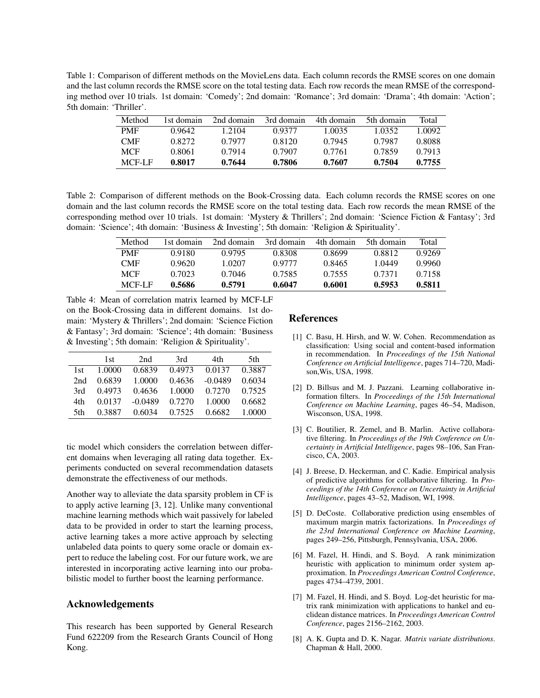Table 1: Comparison of different methods on the MovieLens data. Each column records the RMSE scores on one domain and the last column records the RMSE score on the total testing data. Each row records the mean RMSE of the corresponding method over 10 trials. 1st domain: 'Comedy'; 2nd domain: 'Romance'; 3rd domain: 'Drama'; 4th domain: 'Action'; 5th domain: 'Thriller'.

| Method     | 1st domain | 2nd domain | 3rd domain | 4th domain | 5th domain | Total  |
|------------|------------|------------|------------|------------|------------|--------|
| <b>PMF</b> | 0.9642     | 1.2104     | 0.9377     | 1.0035     | 1.0352.    | 1.0092 |
| <b>CMF</b> | 0.8272     | 0.7977     | 0.8120     | 0.7945     | 0.7987     | 0.8088 |
| <b>MCF</b> | 0.8061     | 0.7914     | 0.7907     | 0.7761     | 0.7859     | 0.7913 |
| MCF-LF     | 0.8017     | 0.7644     | 0.7806     | 0.7607     | 0.7504     | 0.7755 |

Table 2: Comparison of different methods on the Book-Crossing data. Each column records the RMSE scores on one domain and the last column records the RMSE score on the total testing data. Each row records the mean RMSE of the corresponding method over 10 trials. 1st domain: 'Mystery & Thrillers'; 2nd domain: 'Science Fiction & Fantasy'; 3rd domain: 'Science'; 4th domain: 'Business & Investing'; 5th domain: 'Religion & Spirituality'.

| Method     | 1st domain. | 2nd domain | 3rd domain | 4th domain | 5th domain | Total  |
|------------|-------------|------------|------------|------------|------------|--------|
| <b>PMF</b> | 0.9180      | 0.9795     | 0.8308     | 0.8699     | 0.8812     | 0.9269 |
| <b>CMF</b> | 0.9620      | 1 0207     | 0.9777     | 0.8465     | 1.0449     | 0.9960 |
| MCF        | 0.7023      | 0.7046     | 0.7585     | 0.7555     | 0.7371     | 0.7158 |
| MCF-LF     | 0.5686      | 0.5791     | 0.6047     | 0.6001     | 0.5953     | 0.5811 |

Table 4: Mean of correlation matrix learned by MCF-LF on the Book-Crossing data in different domains. 1st domain: 'Mystery & Thrillers'; 2nd domain: 'Science Fiction & Fantasy'; 3rd domain: 'Science'; 4th domain: 'Business & Investing'; 5th domain: 'Religion & Spirituality'.

|      | 1st.   | 2nd       | 3rd    | 4th       | 5th    |
|------|--------|-----------|--------|-----------|--------|
| 1st. | 1.0000 | 0.6839    | 0.4973 | 0.0137    | 0.3887 |
| 2nd  | 0.6839 | 1.0000    | 0.4636 | $-0.0489$ | 0.6034 |
| 3rd  | 0.4973 | 0.4636    | 1.0000 | 0.7270    | 0.7525 |
| 4th  | 0.0137 | $-0.0489$ | 0.7270 | 1.0000    | 0.6682 |
| 5th  | 0.3887 | 0.6034    | 0.7525 | 0.6682    | 1.0000 |

tic model which considers the correlation between different domains when leveraging all rating data together. Experiments conducted on several recommendation datasets demonstrate the effectiveness of our methods.

Another way to alleviate the data sparsity problem in CF is to apply active learning [3, 12]. Unlike many conventional machine learning methods which wait passively for labeled data to be provided in order to start the learning process, active learning takes a more active approach by selecting unlabeled data points to query some oracle or domain expert to reduce the labeling cost. For our future work, we are interested in incorporating active learning into our probabilistic model to further boost the learning performance.

## Acknowledgements

This research has been supported by General Research Fund 622209 from the Research Grants Council of Hong Kong.

## References

- [1] C. Basu, H. Hirsh, and W. W. Cohen. Recommendation as classification: Using social and content-based information in recommendation. In *Proceedings of the 15th National Conference on Artificial Intelligence*, pages 714–720, Madison,Wis, USA, 1998.
- [2] D. Billsus and M. J. Pazzani. Learning collaborative information filters. In *Proceedings of the 15th International Conference on Machine Learning*, pages 46–54, Madison, Wisconson, USA, 1998.
- [3] C. Boutilier, R. Zemel, and B. Marlin. Active collaborative filtering. In *Proceedings of the 19th Conference on Uncertainty in Artificial Intelligence*, pages 98–106, San Francisco, CA, 2003.
- [4] J. Breese, D. Heckerman, and C. Kadie. Empirical analysis of predictive algorithms for collaborative filtering. In *Proceedings of the 14th Conference on Uncertainty in Artificial Intelligence*, pages 43–52, Madison, WI, 1998.
- [5] D. DeCoste. Collaborative prediction using ensembles of maximum margin matrix factorizations. In *Proceedings of the 23rd International Conference on Machine Learning*, pages 249–256, Pittsburgh, Pennsylvania, USA, 2006.
- [6] M. Fazel, H. Hindi, and S. Boyd. A rank minimization heuristic with application to minimum order system approximation. In *Proceedings American Control Conference*, pages 4734–4739, 2001.
- [7] M. Fazel, H. Hindi, and S. Boyd. Log-det heuristic for matrix rank minimization with applications to hankel and euclidean distance matrices. In *Proceedings American Control Conference*, pages 2156–2162, 2003.
- [8] A. K. Gupta and D. K. Nagar. *Matrix variate distributions*. Chapman & Hall, 2000.